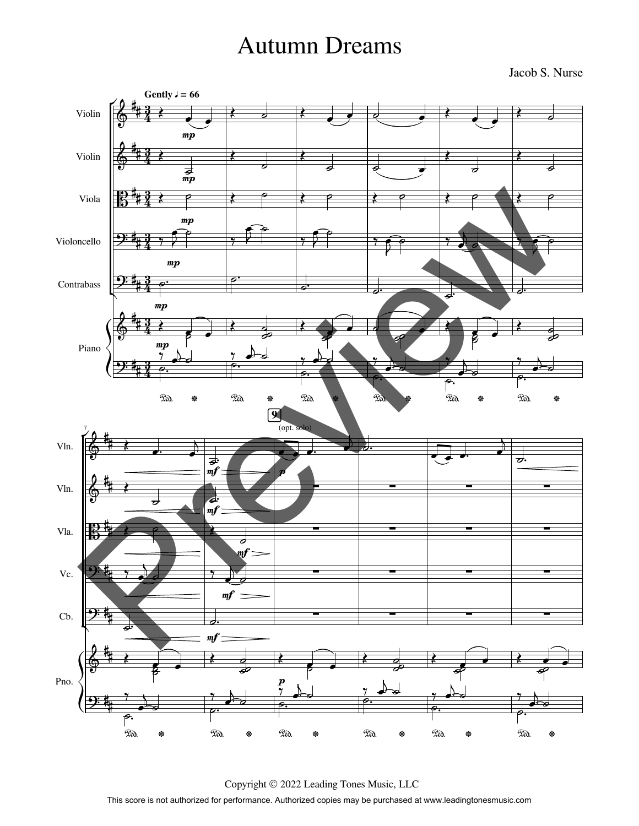## **Autumn Dreams**

Jacob S. Nurse

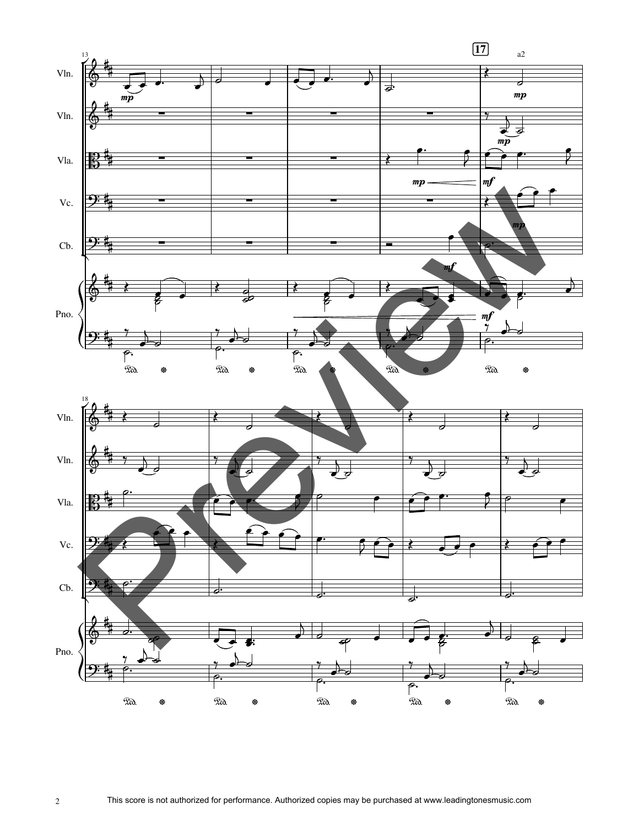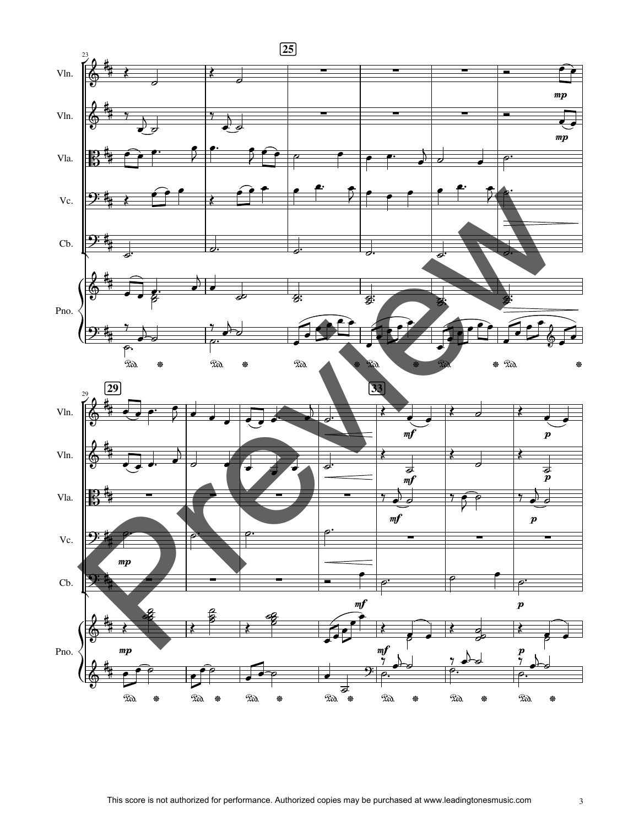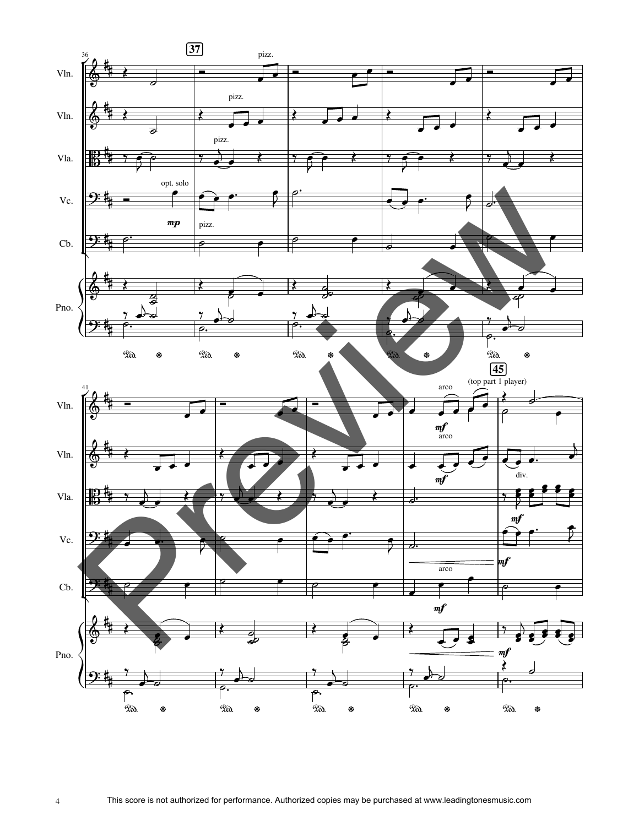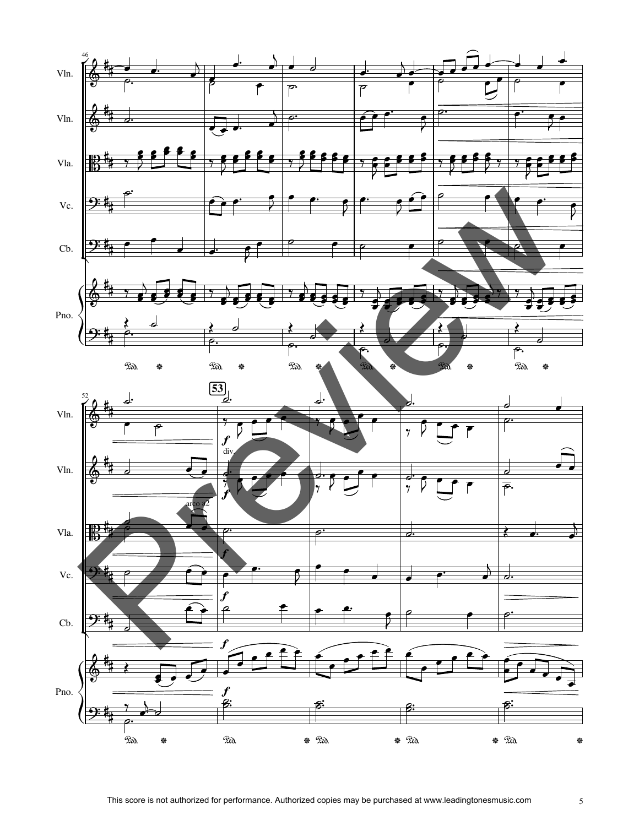